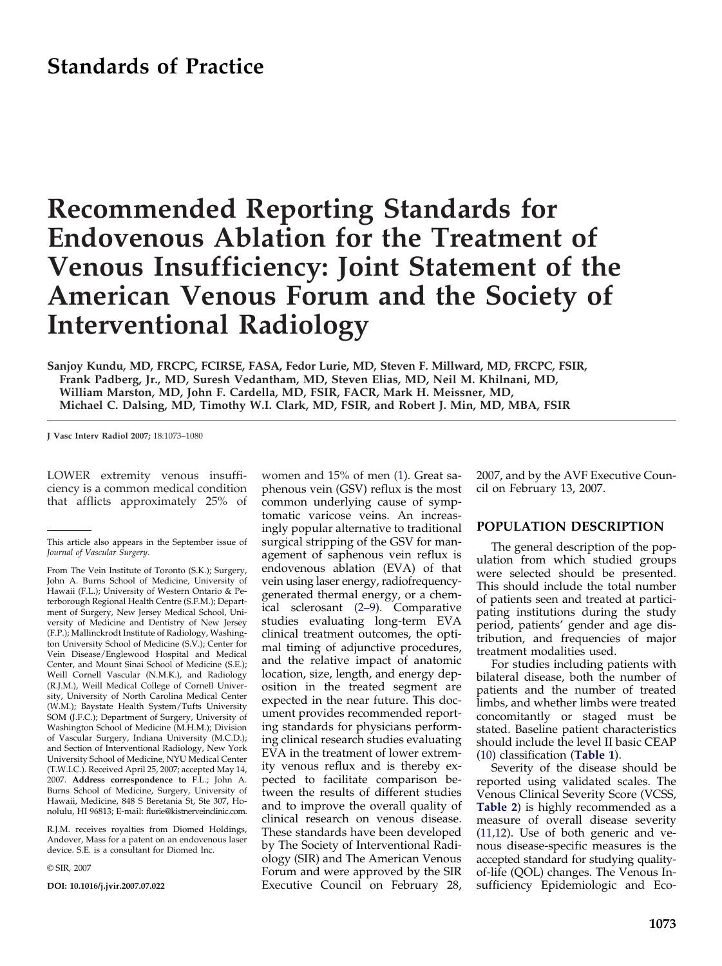## **Standards of Practice**

# **Recommended Reporting Standards for Endovenous Ablation for the Treatment of Venous Insufficiency: Joint Statement of the American Venous Forum and the Society of Interventional Radiology**

**Sanjoy Kundu, MD, FRCPC, FCIRSE, FASA, Fedor Lurie, MD, Steven F. Millward, MD, FRCPC, FSIR, Frank Padberg, Jr., MD, Suresh Vedantham, MD, Steven Elias, MD, Neil M. Khilnani, MD, William Marston, MD, John F. Cardella, MD, FSIR, FACR, Mark H. Meissner, MD, Michael C. Dalsing, MD, Timothy W.I. Clark, MD, FSIR, and Robert J. Min, MD, MBA, FSIR**

**J Vasc Interv Radiol 2007;** 18:1073–1080

LOWER extremity venous insufficiency is a common medical condition that afflicts approximately 25% of

R.J.M. receives royalties from Diomed Holdings, Andover, Mass for a patent on an endovenous laser device. S.E. is a consultant for Diomed Inc.

© SIR, 2007

**DOI: 10.1016/j.jvir.2007.07.022**

women and 15% of men [\(1\)](#page-6-0). Great saphenous vein (GSV) reflux is the most common underlying cause of symptomatic varicose veins. An increasingly popular alternative to traditional surgical stripping of the GSV for management of saphenous vein reflux is endovenous ablation (EVA) of that vein using laser energy, radiofrequencygenerated thermal energy, or a chemical sclerosant [\(2–9\)](#page-6-0). Comparative studies evaluating long-term EVA clinical treatment outcomes, the optimal timing of adjunctive procedures, and the relative impact of anatomic location, size, length, and energy deposition in the treated segment are expected in the near future. This document provides recommended reporting standards for physicians performing clinical research studies evaluating EVA in the treatment of lower extremity venous reflux and is thereby expected to facilitate comparison between the results of different studies and to improve the overall quality of clinical research on venous disease. These standards have been developed by The Society of Interventional Radiology (SIR) and The American Venous Forum and were approved by the SIR Executive Council on February 28, 2007, and by the AVF Executive Council on February 13, 2007.

#### **POPULATION DESCRIPTION**

The general description of the population from which studied groups were selected should be presented. This should include the total number of patients seen and treated at participating institutions during the study period, patients' gender and age distribution, and frequencies of major treatment modalities used.

For studies including patients with bilateral disease, both the number of patients and the number of treated limbs, and whether limbs were treated concomitantly or staged must be stated. Baseline patient characteristics should include the level II basic CEAP [\(10\)](#page-7-0) classification (**[Table 1](#page-1-0)**).

Severity of the disease should be reported using validated scales. The Venous Clinical Severity Score (VCSS, **[Table 2](#page-2-0)**) is highly recommended as a measure of overall disease severity [\(11,12\)](#page-7-0). Use of both generic and venous disease-specific measures is the accepted standard for studying qualityof-life (QOL) changes. The Venous Insufficiency Epidemiologic and Eco-

This article also appears in the September issue of *Journal of Vascular Surgery*.

From The Vein Institute of Toronto (S.K.); Surgery, John A. Burns School of Medicine, University of Hawaii (F.L.); University of Western Ontario & Peterborough Regional Health Centre (S.F.M.); Department of Surgery, New Jersey Medical School, University of Medicine and Dentistry of New Jersey (F.P.); Mallinckrodt Institute of Radiology, Washington University School of Medicine (S.V.); Center for Vein Disease/Englewood Hospital and Medical Center, and Mount Sinai School of Medicine (S.E.); Weill Cornell Vascular (N.M.K.), and Radiology (R.J.M.), Weill Medical College of Cornell University, University of North Carolina Medical Center (W.M.); Baystate Health System/Tufts University SOM (J.F.C.); Department of Surgery, University of Washington School of Medicine (M.H.M.); Division of Vascular Surgery, Indiana University (M.C.D.); and Section of Interventional Radiology, New York University School of Medicine, NYU Medical Center (T.W.I.C.). Received April 25, 2007; accepted May 14, 2007. **Address correspondence to** F.L.; John A. Burns School of Medicine, Surgery, University of Hawaii, Medicine, 848 S Beretania St, Ste 307, Honolulu, HI 96813; E-mail: flurie@kistnerveinclinic.com.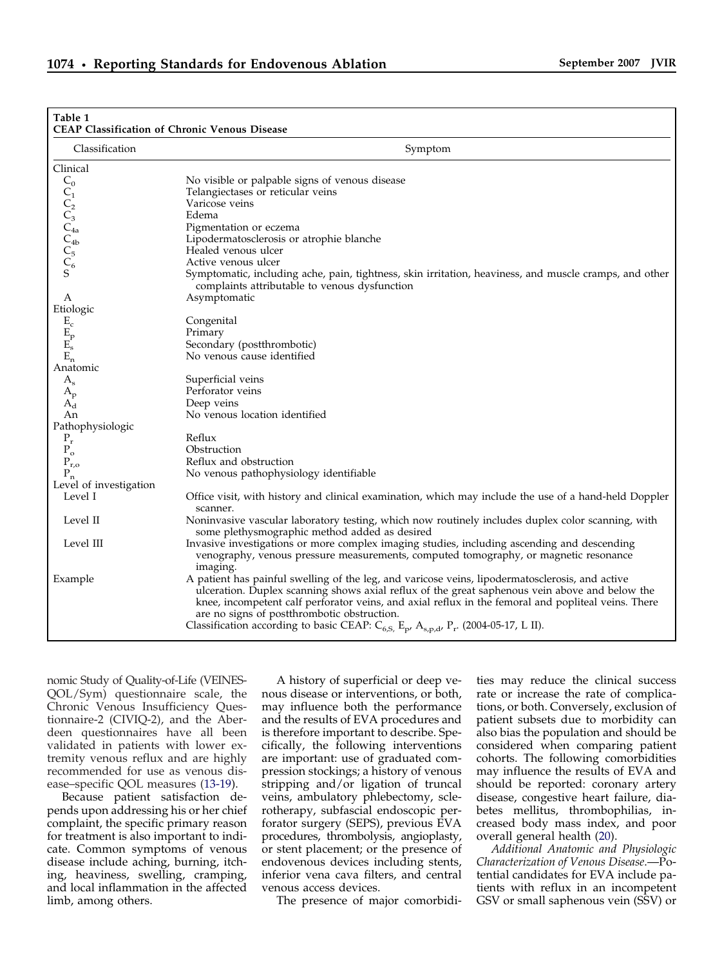<span id="page-1-0"></span>

| Table 1<br><b>CEAP Classification of Chronic Venous Disease</b>     |                                                                                                                                                                                                                                                                                                                                                                                                                                                                                           |  |  |
|---------------------------------------------------------------------|-------------------------------------------------------------------------------------------------------------------------------------------------------------------------------------------------------------------------------------------------------------------------------------------------------------------------------------------------------------------------------------------------------------------------------------------------------------------------------------------|--|--|
| Classification                                                      | Symptom                                                                                                                                                                                                                                                                                                                                                                                                                                                                                   |  |  |
| Clinical                                                            |                                                                                                                                                                                                                                                                                                                                                                                                                                                                                           |  |  |
|                                                                     | No visible or palpable signs of venous disease                                                                                                                                                                                                                                                                                                                                                                                                                                            |  |  |
|                                                                     | Telangiectases or reticular veins                                                                                                                                                                                                                                                                                                                                                                                                                                                         |  |  |
|                                                                     | Varicose veins                                                                                                                                                                                                                                                                                                                                                                                                                                                                            |  |  |
|                                                                     | Edema                                                                                                                                                                                                                                                                                                                                                                                                                                                                                     |  |  |
|                                                                     | Pigmentation or eczema                                                                                                                                                                                                                                                                                                                                                                                                                                                                    |  |  |
|                                                                     | Lipodermatosclerosis or atrophie blanche                                                                                                                                                                                                                                                                                                                                                                                                                                                  |  |  |
|                                                                     | Healed venous ulcer                                                                                                                                                                                                                                                                                                                                                                                                                                                                       |  |  |
|                                                                     | Active venous ulcer                                                                                                                                                                                                                                                                                                                                                                                                                                                                       |  |  |
| $C_0$<br>$C_1$<br>$C_2$<br>$C_3$<br>$C_{4a}$<br>$C_5$<br>$C_6$<br>S | Symptomatic, including ache, pain, tightness, skin irritation, heaviness, and muscle cramps, and other<br>complaints attributable to venous dysfunction                                                                                                                                                                                                                                                                                                                                   |  |  |
| $\boldsymbol{A}$                                                    | Asymptomatic                                                                                                                                                                                                                                                                                                                                                                                                                                                                              |  |  |
| Etiologic                                                           |                                                                                                                                                                                                                                                                                                                                                                                                                                                                                           |  |  |
|                                                                     | Congenital                                                                                                                                                                                                                                                                                                                                                                                                                                                                                |  |  |
| $\begin{array}{l} E_c \\ E_p \\ E_s \\ E_n \end{array}$             | Primary                                                                                                                                                                                                                                                                                                                                                                                                                                                                                   |  |  |
|                                                                     | Secondary (postthrombotic)                                                                                                                                                                                                                                                                                                                                                                                                                                                                |  |  |
|                                                                     | No venous cause identified                                                                                                                                                                                                                                                                                                                                                                                                                                                                |  |  |
| Anatomic                                                            |                                                                                                                                                                                                                                                                                                                                                                                                                                                                                           |  |  |
| $A_{\rm s}$                                                         | Superficial veins                                                                                                                                                                                                                                                                                                                                                                                                                                                                         |  |  |
| $\rm A_p$                                                           | Perforator veins                                                                                                                                                                                                                                                                                                                                                                                                                                                                          |  |  |
| $A_d$                                                               | Deep veins                                                                                                                                                                                                                                                                                                                                                                                                                                                                                |  |  |
| An                                                                  | No venous location identified                                                                                                                                                                                                                                                                                                                                                                                                                                                             |  |  |
| Pathophysiologic                                                    |                                                                                                                                                                                                                                                                                                                                                                                                                                                                                           |  |  |
| $P_r$                                                               | Reflux                                                                                                                                                                                                                                                                                                                                                                                                                                                                                    |  |  |
| $P_{o}$                                                             | Obstruction                                                                                                                                                                                                                                                                                                                                                                                                                                                                               |  |  |
| $P_{r,o}$                                                           | Reflux and obstruction                                                                                                                                                                                                                                                                                                                                                                                                                                                                    |  |  |
| $P_n$                                                               | No venous pathophysiology identifiable                                                                                                                                                                                                                                                                                                                                                                                                                                                    |  |  |
| Level of investigation                                              |                                                                                                                                                                                                                                                                                                                                                                                                                                                                                           |  |  |
| Level I                                                             | Office visit, with history and clinical examination, which may include the use of a hand-held Doppler<br>scanner.                                                                                                                                                                                                                                                                                                                                                                         |  |  |
| Level II                                                            | Noninvasive vascular laboratory testing, which now routinely includes duplex color scanning, with<br>some plethysmographic method added as desired                                                                                                                                                                                                                                                                                                                                        |  |  |
| Level III                                                           | Invasive investigations or more complex imaging studies, including ascending and descending<br>venography, venous pressure measurements, computed tomography, or magnetic resonance<br>imaging.                                                                                                                                                                                                                                                                                           |  |  |
| Example                                                             | A patient has painful swelling of the leg, and varicose veins, lipodermatosclerosis, and active<br>ulceration. Duplex scanning shows axial reflux of the great saphenous vein above and below the<br>knee, incompetent calf perforator veins, and axial reflux in the femoral and popliteal veins. There<br>are no signs of postthrombotic obstruction.<br>Classification according to basic CEAP: $C_{6,S}$ , E <sub>p</sub> , A <sub>s,p,d</sub> , P <sub>r</sub> . (2004-05-17, L II). |  |  |

nomic Study of Quality-of-Life (VEINES-QOL/Sym) questionnaire scale, the Chronic Venous Insufficiency Questionnaire-2 (CIVIQ-2), and the Aberdeen questionnaires have all been validated in patients with lower extremity venous reflux and are highly recommended for use as venous disease–specific QOL measures [\(13-19\)](#page-7-0).

Because patient satisfaction depends upon addressing his or her chief complaint, the specific primary reason for treatment is also important to indicate. Common symptoms of venous disease include aching, burning, itching, heaviness, swelling, cramping, and local inflammation in the affected limb, among others.

A history of superficial or deep venous disease or interventions, or both, may influence both the performance and the results of EVA procedures and is therefore important to describe. Specifically, the following interventions are important: use of graduated compression stockings; a history of venous stripping and/or ligation of truncal veins, ambulatory phlebectomy, sclerotherapy, subfascial endoscopic perforator surgery (SEPS), previous EVA procedures, thrombolysis, angioplasty, or stent placement; or the presence of endovenous devices including stents, inferior vena cava filters, and central venous access devices.

The presence of major comorbidi-

ties may reduce the clinical success rate or increase the rate of complications, or both. Conversely, exclusion of patient subsets due to morbidity can also bias the population and should be considered when comparing patient cohorts. The following comorbidities may influence the results of EVA and should be reported: coronary artery disease, congestive heart failure, diabetes mellitus, thrombophilias, increased body mass index, and poor overall general health [\(20\)](#page-7-0).

*Additional Anatomic and Physiologic Characterization of Venous Disease*.—Potential candidates for EVA include patients with reflux in an incompetent GSV or small saphenous vein (SSV) or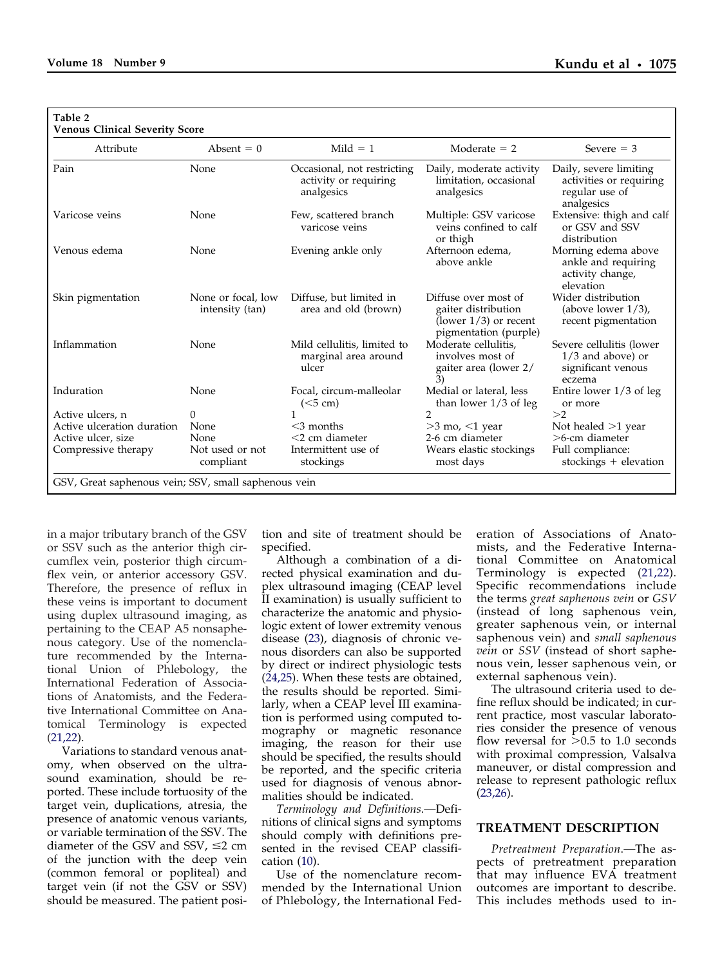<span id="page-2-0"></span>

| Attribute                  | Absent $= 0$                          | $Mild = 1$                                                         | Moderate $= 2$                                                                                   | Severe $=$ 3                                                                      |
|----------------------------|---------------------------------------|--------------------------------------------------------------------|--------------------------------------------------------------------------------------------------|-----------------------------------------------------------------------------------|
| Pain                       | None                                  | Occasional, not restricting<br>activity or requiring<br>analgesics | Daily, moderate activity<br>limitation, occasional<br>analgesics                                 | Daily, severe limiting<br>activities or requiring<br>regular use of<br>analgesics |
| Varicose veins             | None                                  | Few, scattered branch<br>varicose veins                            | Multiple: GSV varicose<br>veins confined to calf<br>or thigh                                     | Extensive: thigh and calf<br>or GSV and SSV<br>distribution                       |
| Venous edema               | None                                  | Evening ankle only                                                 | Afternoon edema,<br>above ankle                                                                  | Morning edema above<br>ankle and requiring<br>activity change,<br>elevation       |
| Skin pigmentation          | None or focal, low<br>intensity (tan) | Diffuse, but limited in<br>area and old (brown)                    | Diffuse over most of<br>gaiter distribution<br>(lower $1/3$ ) or recent<br>pigmentation (purple) | Wider distribution<br>(above lower $1/3$ ),<br>recent pigmentation                |
| Inflammation               | None                                  | Mild cellulitis, limited to<br>marginal area around<br>ulcer       | Moderate cellulitis.<br>involves most of<br>gaiter area (lower 2/<br>3)                          | Severe cellulitis (lower<br>$1/3$ and above) or<br>significant venous<br>eczema   |
| Induration                 | None                                  | Focal, circum-malleolar<br>(<5 cm)                                 | Medial or lateral, less<br>than lower $1/3$ of leg                                               | Entire lower $1/3$ of leg<br>or more                                              |
| Active ulcers, n           | $\theta$                              |                                                                    | $\overline{2}$                                                                                   | >2                                                                                |
| Active ulceration duration | None                                  | $<$ 3 months                                                       | $>3$ mo, $<1$ year                                                                               | Not healed $>1$ year                                                              |
| Active ulcer, size         | None                                  | $<$ 2 cm diameter                                                  | 2-6 cm diameter                                                                                  | $>6$ -cm diameter                                                                 |
| Compressive therapy        | Not used or not<br>compliant          | Intermittent use of<br>stockings                                   | Wears elastic stockings<br>most days                                                             | Full compliance:<br>stockings $+$ elevation                                       |

in a major tributary branch of the GSV or SSV such as the anterior thigh circumflex vein, posterior thigh circumflex vein, or anterior accessory GSV. Therefore, the presence of reflux in these veins is important to document using duplex ultrasound imaging, as pertaining to the CEAP A5 nonsaphenous category. Use of the nomenclature recommended by the International Union of Phlebology, the International Federation of Associations of Anatomists, and the Federative International Committee on Anatomical Terminology is expected [\(21,22\)](#page-7-0).

Variations to standard venous anatomy, when observed on the ultrasound examination, should be reported. These include tortuosity of the target vein, duplications, atresia, the presence of anatomic venous variants, or variable termination of the SSV. The diameter of the GSV and SSV,  $\leq 2$  cm of the junction with the deep vein (common femoral or popliteal) and target vein (if not the GSV or SSV) should be measured. The patient posi-

tion and site of treatment should be specified.

Although a combination of a directed physical examination and duplex ultrasound imaging (CEAP level II examination) is usually sufficient to characterize the anatomic and physiologic extent of lower extremity venous disease [\(23\)](#page-7-0), diagnosis of chronic venous disorders can also be supported by direct or indirect physiologic tests [\(24,25\)](#page-7-0). When these tests are obtained, the results should be reported. Similarly, when a CEAP level III examination is performed using computed tomography or magnetic resonance imaging, the reason for their use should be specified, the results should be reported, and the specific criteria used for diagnosis of venous abnormalities should be indicated.

*Terminology and Definitions*.—Definitions of clinical signs and symptoms should comply with definitions presented in the revised CEAP classification [\(10\)](#page-7-0).

Use of the nomenclature recommended by the International Union of Phlebology, the International Federation of Associations of Anatomists, and the Federative International Committee on Anatomical Terminology is expected [\(21,22\)](#page-7-0). Specific recommendations include the terms *great saphenous vein* or *GSV* (instead of long saphenous vein, greater saphenous vein, or internal saphenous vein) and *small saphenous vein* or *SSV* (instead of short saphenous vein, lesser saphenous vein, or external saphenous vein).

The ultrasound criteria used to define reflux should be indicated; in current practice, most vascular laboratories consider the presence of venous flow reversal for  $>0.5$  to 1.0 seconds with proximal compression, Valsalva maneuver, or distal compression and release to represent pathologic reflux  $(23,26)$ .

#### **TREATMENT DESCRIPTION**

*Pretreatment Preparation*.—The aspects of pretreatment preparation that may influence EVA treatment outcomes are important to describe. This includes methods used to in-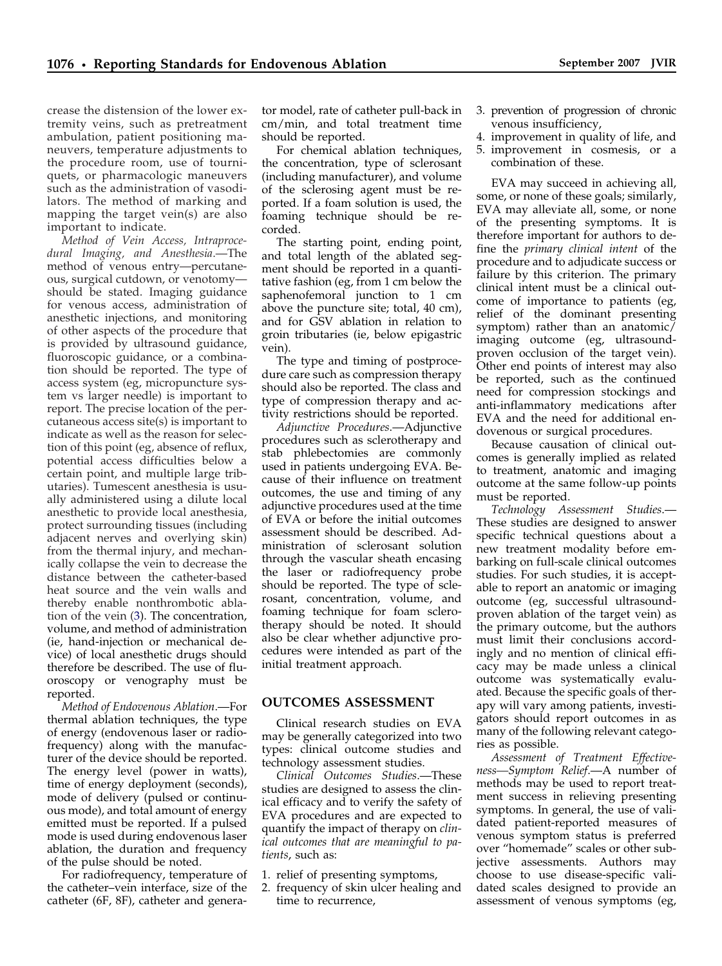crease the distension of the lower extremity veins, such as pretreatment ambulation, patient positioning maneuvers, temperature adjustments to the procedure room, use of tourniquets, or pharmacologic maneuvers such as the administration of vasodilators. The method of marking and mapping the target vein(s) are also important to indicate.

*Method of Vein Access, Intraprocedural Imaging, and Anesthesia*.—The method of venous entry—percutaneous, surgical cutdown, or venotomy should be stated. Imaging guidance for venous access, administration of anesthetic injections, and monitoring of other aspects of the procedure that is provided by ultrasound guidance, fluoroscopic guidance, or a combination should be reported. The type of access system (eg, micropuncture system vs larger needle) is important to report. The precise location of the percutaneous access site(s) is important to indicate as well as the reason for selection of this point (eg, absence of reflux, potential access difficulties below a certain point, and multiple large tributaries). Tumescent anesthesia is usually administered using a dilute local anesthetic to provide local anesthesia, protect surrounding tissues (including adjacent nerves and overlying skin) from the thermal injury, and mechanically collapse the vein to decrease the distance between the catheter-based heat source and the vein walls and thereby enable nonthrombotic ablation of the vein [\(3\)](#page-6-0). The concentration, volume, and method of administration (ie, hand-injection or mechanical device) of local anesthetic drugs should therefore be described. The use of fluoroscopy or venography must be reported.

*Method of Endovenous Ablation*.—For thermal ablation techniques, the type of energy (endovenous laser or radiofrequency) along with the manufacturer of the device should be reported. The energy level (power in watts), time of energy deployment (seconds), mode of delivery (pulsed or continuous mode), and total amount of energy emitted must be reported. If a pulsed mode is used during endovenous laser ablation, the duration and frequency of the pulse should be noted.

For radiofrequency, temperature of the catheter–vein interface, size of the catheter (6F, 8F), catheter and generator model, rate of catheter pull-back in cm/min, and total treatment time should be reported.

For chemical ablation techniques, the concentration, type of sclerosant (including manufacturer), and volume of the sclerosing agent must be reported. If a foam solution is used, the foaming technique should be recorded.

The starting point, ending point, and total length of the ablated segment should be reported in a quantitative fashion (eg, from 1 cm below the saphenofemoral junction to 1 cm above the puncture site; total, 40 cm), and for GSV ablation in relation to groin tributaries (ie, below epigastric vein).

The type and timing of postprocedure care such as compression therapy should also be reported. The class and type of compression therapy and activity restrictions should be reported.

*Adjunctive Procedures*.—Adjunctive procedures such as sclerotherapy and stab phlebectomies are commonly used in patients undergoing EVA. Because of their influence on treatment outcomes, the use and timing of any adjunctive procedures used at the time of EVA or before the initial outcomes assessment should be described. Administration of sclerosant solution through the vascular sheath encasing the laser or radiofrequency probe should be reported. The type of sclerosant, concentration, volume, and foaming technique for foam sclerotherapy should be noted. It should also be clear whether adjunctive procedures were intended as part of the initial treatment approach.

#### **OUTCOMES ASSESSMENT**

Clinical research studies on EVA may be generally categorized into two types: clinical outcome studies and technology assessment studies.

*Clinical Outcomes Studies*.—These studies are designed to assess the clinical efficacy and to verify the safety of EVA procedures and are expected to quantify the impact of therapy on *clinical outcomes that are meaningful to patients*, such as:

- 1. relief of presenting symptoms,
- 2. frequency of skin ulcer healing and time to recurrence,
- 3. prevention of progression of chronic venous insufficiency,
- 4. improvement in quality of life, and
- 5. improvement in cosmesis, or a combination of these.

EVA may succeed in achieving all, some, or none of these goals; similarly, EVA may alleviate all, some, or none of the presenting symptoms. It is therefore important for authors to define the *primary clinical intent* of the procedure and to adjudicate success or failure by this criterion. The primary clinical intent must be a clinical outcome of importance to patients (eg, relief of the dominant presenting symptom) rather than an anatomic/ imaging outcome (eg, ultrasoundproven occlusion of the target vein). Other end points of interest may also be reported, such as the continued need for compression stockings and anti-inflammatory medications after EVA and the need for additional endovenous or surgical procedures.

Because causation of clinical outcomes is generally implied as related to treatment, anatomic and imaging outcome at the same follow-up points must be reported.

*Technology Assessment Studies*.— These studies are designed to answer specific technical questions about a new treatment modality before embarking on full-scale clinical outcomes studies. For such studies, it is acceptable to report an anatomic or imaging outcome (eg, successful ultrasoundproven ablation of the target vein) as the primary outcome, but the authors must limit their conclusions accordingly and no mention of clinical efficacy may be made unless a clinical outcome was systematically evaluated. Because the specific goals of therapy will vary among patients, investigators should report outcomes in as many of the following relevant categories as possible.

*Assessment of Treatment Effectiveness—Symptom Relief*.—A number of methods may be used to report treatment success in relieving presenting symptoms. In general, the use of validated patient-reported measures of venous symptom status is preferred over "homemade" scales or other subjective assessments. Authors may choose to use disease-specific validated scales designed to provide an assessment of venous symptoms (eg,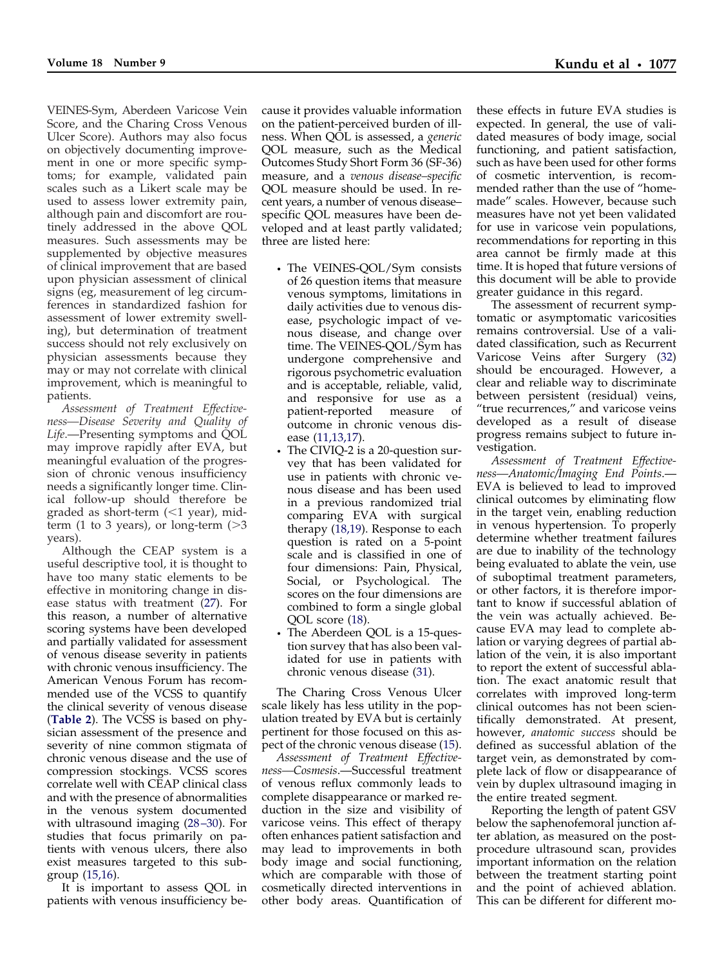VEINES-Sym, Aberdeen Varicose Vein Score, and the Charing Cross Venous Ulcer Score). Authors may also focus on objectively documenting improvement in one or more specific symptoms; for example, validated pain scales such as a Likert scale may be used to assess lower extremity pain, although pain and discomfort are routinely addressed in the above QOL measures. Such assessments may be supplemented by objective measures of clinical improvement that are based upon physician assessment of clinical signs (eg, measurement of leg circumferences in standardized fashion for assessment of lower extremity swelling), but determination of treatment success should not rely exclusively on physician assessments because they may or may not correlate with clinical improvement, which is meaningful to patients.

*Assessment of Treatment Effectiveness—Disease Severity and Quality of Life*.—Presenting symptoms and QOL may improve rapidly after EVA, but meaningful evaluation of the progression of chronic venous insufficiency needs a significantly longer time. Clinical follow-up should therefore be graded as short-term  $(<1$  year), midterm (1 to 3 years), or long-term  $($ >3 years).

Although the CEAP system is a useful descriptive tool, it is thought to have too many static elements to be effective in monitoring change in disease status with treatment [\(27\)](#page-7-0). For this reason, a number of alternative scoring systems have been developed and partially validated for assessment of venous disease severity in patients with chronic venous insufficiency. The American Venous Forum has recommended use of the VCSS to quantify the clinical severity of venous disease (**[Table 2](#page-2-0)**). The VCSS is based on physician assessment of the presence and severity of nine common stigmata of chronic venous disease and the use of compression stockings. VCSS scores correlate well with CEAP clinical class and with the presence of abnormalities in the venous system documented with ultrasound imaging (28–30). For studies that focus primarily on patients with venous ulcers, there also exist measures targeted to this subgroup [\(15,16\)](#page-7-0).

It is important to assess QOL in patients with venous insufficiency be-

cause it provides valuable information on the patient-perceived burden of illness. When QOL is assessed, a *generic* QOL measure, such as the Medical Outcomes Study Short Form 36 (SF-36) measure, and a *venous disease–specific* QOL measure should be used. In recent years, a number of venous disease– specific QOL measures have been developed and at least partly validated; three are listed here:

- The VEINES-QOL/Sym consists of 26 question items that measure venous symptoms, limitations in daily activities due to venous disease, psychologic impact of venous disease, and change over time. The VEINES-QOL/Sym has undergone comprehensive and rigorous psychometric evaluation and is acceptable, reliable, valid, and responsive for use as a patient-reported measure of outcome in chronic venous disease [\(11,13,17\)](#page-7-0).
- The CIVIQ-2 is a 20-question survey that has been validated for use in patients with chronic venous disease and has been used in a previous randomized trial comparing EVA with surgical therapy [\(18,19\)](#page-7-0). Response to each question is rated on a 5-point scale and is classified in one of four dimensions: Pain, Physical, Social, or Psychological. The scores on the four dimensions are combined to form a single global QOL score [\(18\)](#page-7-0).
- The Aberdeen QOL is a 15-question survey that has also been validated for use in patients with chronic venous disease [\(31\)](#page-7-0).

The Charing Cross Venous Ulcer scale likely has less utility in the population treated by EVA but is certainly pertinent for those focused on this aspect of the chronic venous disease [\(15\)](#page-7-0).

*Assessment of Treatment Effectiveness—Cosmesis*.—Successful treatment of venous reflux commonly leads to complete disappearance or marked reduction in the size and visibility of varicose veins. This effect of therapy often enhances patient satisfaction and may lead to improvements in both body image and social functioning, which are comparable with those of cosmetically directed interventions in other body areas. Quantification of these effects in future EVA studies is expected. In general, the use of validated measures of body image, social functioning, and patient satisfaction, such as have been used for other forms of cosmetic intervention, is recommended rather than the use of "homemade" scales. However, because such measures have not yet been validated for use in varicose vein populations, recommendations for reporting in this area cannot be firmly made at this time. It is hoped that future versions of this document will be able to provide greater guidance in this regard.

The assessment of recurrent symptomatic or asymptomatic varicosities remains controversial. Use of a validated classification, such as Recurrent Varicose Veins after Surgery [\(32\)](#page-7-0) should be encouraged. However, a clear and reliable way to discriminate between persistent (residual) veins, "true recurrences," and varicose veins developed as a result of disease progress remains subject to future investigation.

*Assessment of Treatment Effectiveness—Anatomic/Imaging End Points*.— EVA is believed to lead to improved clinical outcomes by eliminating flow in the target vein, enabling reduction in venous hypertension. To properly determine whether treatment failures are due to inability of the technology being evaluated to ablate the vein, use of suboptimal treatment parameters, or other factors, it is therefore important to know if successful ablation of the vein was actually achieved. Because EVA may lead to complete ablation or varying degrees of partial ablation of the vein, it is also important to report the extent of successful ablation. The exact anatomic result that correlates with improved long-term clinical outcomes has not been scientifically demonstrated. At present, however, *anatomic success* should be defined as successful ablation of the target vein, as demonstrated by complete lack of flow or disappearance of vein by duplex ultrasound imaging in the entire treated segment.

Reporting the length of patent GSV below the saphenofemoral junction after ablation, as measured on the postprocedure ultrasound scan, provides important information on the relation between the treatment starting point and the point of achieved ablation. This can be different for different mo-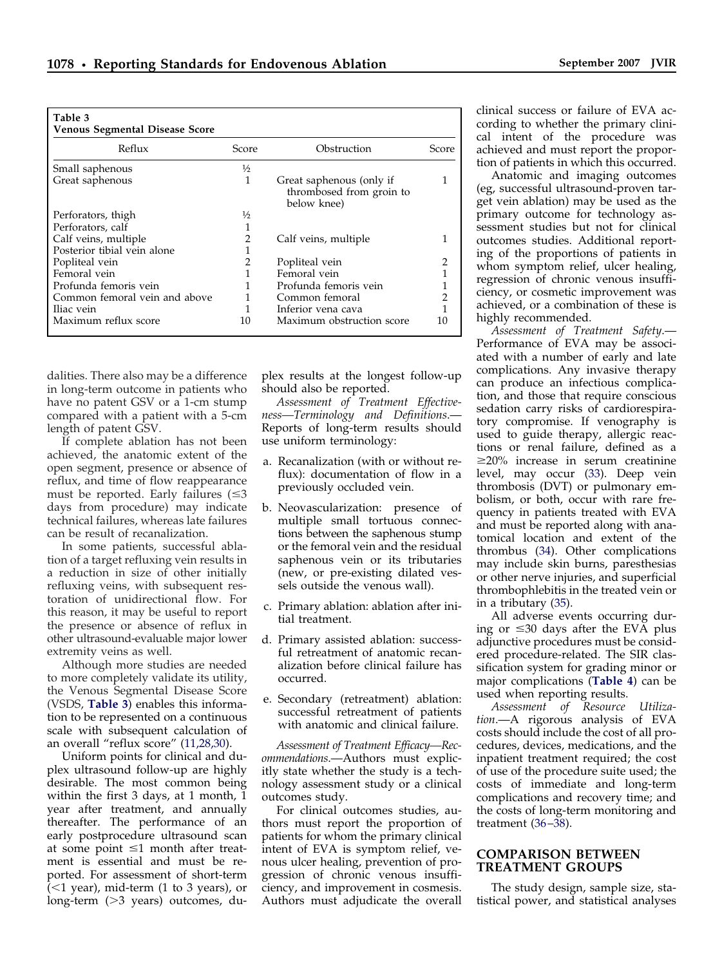| Table 3<br><b>Venous Segmental Disease Score</b> |               |                                                                     |       |  |  |
|--------------------------------------------------|---------------|---------------------------------------------------------------------|-------|--|--|
| Reflux                                           | Score         | Obstruction                                                         | Score |  |  |
| Small saphenous                                  | $\frac{1}{2}$ |                                                                     |       |  |  |
| Great saphenous                                  | 1             | Great saphenous (only if<br>thrombosed from groin to<br>below knee) |       |  |  |
| Perforators, thigh                               | $\frac{1}{2}$ |                                                                     |       |  |  |
| Perforators, calf                                |               |                                                                     |       |  |  |
| Calf veins, multiple                             | 2             | Calf veins, multiple                                                |       |  |  |
| Posterior tibial vein alone                      |               |                                                                     |       |  |  |
| Popliteal vein                                   |               | Popliteal vein                                                      |       |  |  |
| Femoral vein                                     |               | Femoral vein                                                        |       |  |  |
| Profunda femoris vein                            |               | Profunda femoris vein                                               |       |  |  |
| Common femoral vein and above                    |               | Common femoral                                                      |       |  |  |
| Iliac vein                                       |               | Inferior vena cava                                                  |       |  |  |
| Maximum reflux score                             | 10            | Maximum obstruction score                                           | 10    |  |  |

dalities. There also may be a difference in long-term outcome in patients who have no patent GSV or a 1-cm stump compared with a patient with a 5-cm length of patent GSV.

If complete ablation has not been achieved, the anatomic extent of the open segment, presence or absence of reflux, and time of flow reappearance must be reported. Early failures  $(\leq 3)$ days from procedure) may indicate technical failures, whereas late failures can be result of recanalization.

In some patients, successful ablation of a target refluxing vein results in a reduction in size of other initially refluxing veins, with subsequent restoration of unidirectional flow. For this reason, it may be useful to report the presence or absence of reflux in other ultrasound-evaluable major lower extremity veins as well.

Although more studies are needed to more completely validate its utility, the Venous Segmental Disease Score (VSDS, **Table 3**) enables this information to be represented on a continuous scale with subsequent calculation of an overall "reflux score" [\(11,28,30\)](#page-7-0).

Uniform points for clinical and duplex ultrasound follow-up are highly desirable. The most common being within the first 3 days, at 1 month, 1 year after treatment, and annually thereafter. The performance of an early postprocedure ultrasound scan at some point  $\leq 1$  month after treatment is essential and must be reported. For assessment of short-term  $(<1$  year), mid-term  $(1$  to 3 years), or long-term (>3 years) outcomes, du-

plex results at the longest follow-up should also be reported.

*Assessment of Treatment Effectiveness—Terminology and Definitions*.— Reports of long-term results should use uniform terminology:

- a. Recanalization (with or without reflux): documentation of flow in a previously occluded vein.
- b. Neovascularization: presence of multiple small tortuous connections between the saphenous stump or the femoral vein and the residual saphenous vein or its tributaries (new, or pre-existing dilated vessels outside the venous wall).
- c. Primary ablation: ablation after initial treatment.
- d. Primary assisted ablation: successful retreatment of anatomic recanalization before clinical failure has occurred.
- e. Secondary (retreatment) ablation: successful retreatment of patients with anatomic and clinical failure.

*Assessment of Treatment Efficacy—Recommendations*.—Authors must explicitly state whether the study is a technology assessment study or a clinical outcomes study.

For clinical outcomes studies, authors must report the proportion of patients for whom the primary clinical intent of EVA is symptom relief, venous ulcer healing, prevention of progression of chronic venous insufficiency, and improvement in cosmesis. Authors must adjudicate the overall

clinical success or failure of EVA according to whether the primary clinical intent of the procedure was achieved and must report the proportion of patients in which this occurred.

Anatomic and imaging outcomes (eg, successful ultrasound-proven target vein ablation) may be used as the primary outcome for technology assessment studies but not for clinical outcomes studies. Additional reporting of the proportions of patients in whom symptom relief, ulcer healing, regression of chronic venous insufficiency, or cosmetic improvement was achieved, or a combination of these is highly recommended.

*Assessment of Treatment Safety*.— Performance of EVA may be associated with a number of early and late complications. Any invasive therapy can produce an infectious complication, and those that require conscious sedation carry risks of cardiorespiratory compromise. If venography is used to guide therapy, allergic reactions or renal failure, defined as a -20% increase in serum creatinine level, may occur [\(33\)](#page-7-0). Deep vein thrombosis (DVT) or pulmonary embolism, or both, occur with rare frequency in patients treated with EVA and must be reported along with anatomical location and extent of the thrombus [\(34\)](#page-7-0). Other complications may include skin burns, paresthesias or other nerve injuries, and superficial thrombophlebitis in the treated vein or in a tributary [\(35\)](#page-7-0).

All adverse events occurring during or  $\leq 30$  days after the EVA plus adjunctive procedures must be considered procedure-related. The SIR classification system for grading minor or major complications (**[Table 4](#page-6-0)**) can be used when reporting results.

*Assessment of Resource Utilization*.—A rigorous analysis of EVA costs should include the cost of all procedures, devices, medications, and the inpatient treatment required; the cost of use of the procedure suite used; the costs of immediate and long-term complications and recovery time; and the costs of long-term monitoring and treatment [\(36 –38\)](#page-7-0).

#### **COMPARISON BETWEEN TREATMENT GROUPS**

The study design, sample size, statistical power, and statistical analyses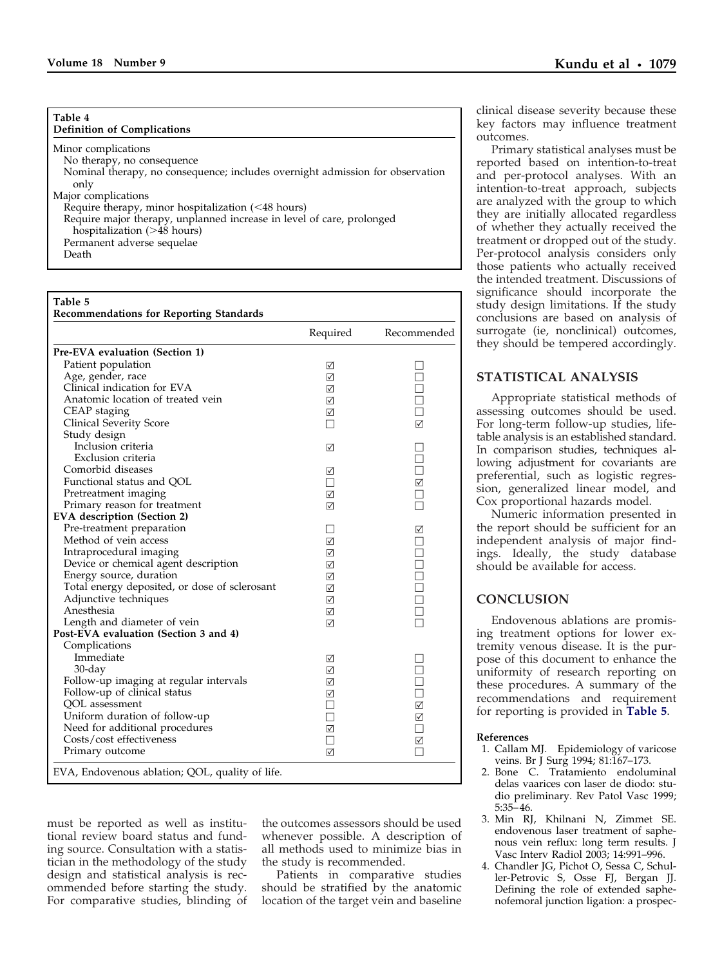#### <span id="page-6-0"></span>**Table 4 Definition of Complications** Minor complications No therapy, no consequence Nominal therapy, no consequence; includes overnight admission for observation only Major complications Require therapy, minor hospitalization  $(\leq 48$  hours) Require major therapy, unplanned increase in level of care, prolonged hospitalization  $(>48$  hours) Permanent adverse sequelae Death

| ×<br>۰,<br>۰,<br>۰,<br>× |  |
|--------------------------|--|
|--------------------------|--|

|                                               | Required | Recommended       |
|-----------------------------------------------|----------|-------------------|
| Pre-EVA evaluation (Section 1)                |          |                   |
| Patient population                            | ☑        |                   |
| Age, gender, race                             | ☑        |                   |
| Clinical indication for EVA                   | ☑        |                   |
| Anatomic location of treated vein             | ☑        |                   |
| CEAP staging                                  | ☑        |                   |
| <b>Clinical Severity Score</b>                |          | ☑                 |
| Study design                                  |          |                   |
| Inclusion criteria                            | ☑        |                   |
| Exclusion criteria                            |          |                   |
| Comorbid diseases                             | ☑        |                   |
| Functional status and QOL                     |          | ☑                 |
| Pretreatment imaging                          | ☑        |                   |
| Primary reason for treatment                  | ☑        |                   |
| <b>EVA</b> description (Section 2)            |          |                   |
| Pre-treatment preparation                     |          | ☑                 |
| Method of vein access                         | ☑        |                   |
| Intraprocedural imaging                       | ☑        |                   |
| Device or chemical agent description          | ☑        |                   |
| Energy source, duration                       | ☑        |                   |
| Total energy deposited, or dose of sclerosant | ☑        |                   |
| Adjunctive techniques                         | ☑        |                   |
| Anesthesia                                    | ☑        |                   |
| Length and diameter of vein                   | ☑        |                   |
| Post-EVA evaluation (Section 3 and 4)         |          |                   |
| Complications                                 |          |                   |
| Immediate                                     | ☑        |                   |
| 30-day                                        | ☑        |                   |
| Follow-up imaging at regular intervals        | ☑        |                   |
| Follow-up of clinical status                  | ☑        |                   |
| QOL assessment                                |          | ☑                 |
| Uniform duration of follow-up                 |          | ☑                 |
| Need for additional procedures                | ☑        |                   |
| Costs/cost effectiveness                      |          | ☑                 |
| Primary outcome                               | ☑        | $\vert \ \ \vert$ |

must be reported as well as institutional review board status and funding source. Consultation with a statistician in the methodology of the study design and statistical analysis is recommended before starting the study. For comparative studies, blinding of the outcomes assessors should be used whenever possible. A description of all methods used to minimize bias in the study is recommended.

Patients in comparative studies should be stratified by the anatomic location of the target vein and baseline

clinical disease severity because these key factors may influence treatment outcomes.

Primary statistical analyses must be reported based on intention-to-treat and per-protocol analyses. With an intention-to-treat approach, subjects are analyzed with the group to which they are initially allocated regardless of whether they actually received the treatment or dropped out of the study. Per-protocol analysis considers only those patients who actually received the intended treatment. Discussions of significance should incorporate the study design limitations. If the study conclusions are based on analysis of surrogate (ie, nonclinical) outcomes, they should be tempered accordingly.

#### **STATISTICAL ANALYSIS**

Appropriate statistical methods of assessing outcomes should be used. For long-term follow-up studies, lifetable analysis is an established standard. In comparison studies, techniques allowing adjustment for covariants are preferential, such as logistic regression, generalized linear model, and Cox proportional hazards model.

Numeric information presented in the report should be sufficient for an independent analysis of major findings. Ideally, the study database should be available for access.

### **CONCLUSION**

Endovenous ablations are promising treatment options for lower extremity venous disease. It is the purpose of this document to enhance the uniformity of research reporting on these procedures. A summary of the recommendations and requirement for reporting is provided in **Table 5**.

#### **References**

- 1. Callam MJ. Epidemiology of varicose veins. Br J Surg 1994; 81:167–173.
- 2. Bone C. Tratamiento endoluminal delas vaarices con laser de diodo: studio preliminary. Rev Patol Vasc 1999; 5:35– 46.
- 3. Min RJ, Khilnani N, Zimmet SE. endovenous laser treatment of saphenous vein reflux: long term results. J Vasc Interv Radiol 2003; 14:991–996.
- 4. Chandler JG, Pichot O, Sessa C, Schuller-Petrovic S, Osse FJ, Bergan JJ. Defining the role of extended saphenofemoral junction ligation: a prospec-